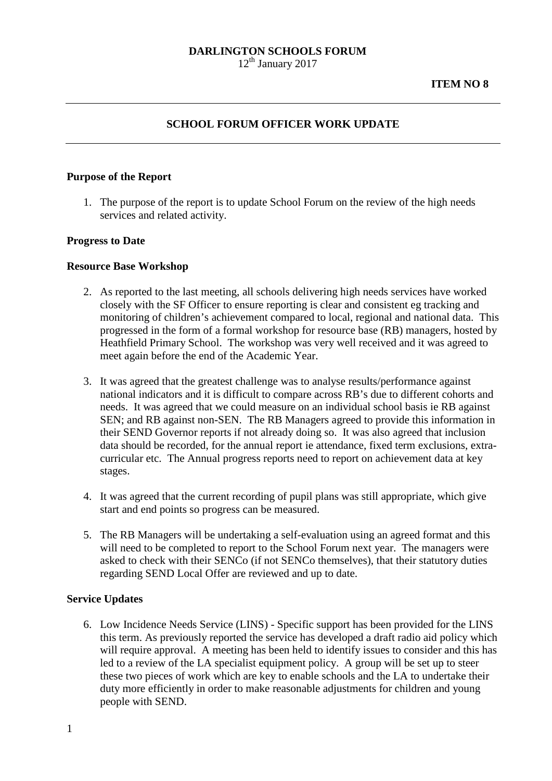# **DARLINGTON SCHOOLS FORUM**

 $12<sup>th</sup>$  January 2017

# **SCHOOL FORUM OFFICER WORK UPDATE**

### **Purpose of the Report**

1. The purpose of the report is to update School Forum on the review of the high needs services and related activity.

#### **Progress to Date**

#### **Resource Base Workshop**

- 2. As reported to the last meeting, all schools delivering high needs services have worked closely with the SF Officer to ensure reporting is clear and consistent eg tracking and monitoring of children's achievement compared to local, regional and national data. This progressed in the form of a formal workshop for resource base (RB) managers, hosted by Heathfield Primary School. The workshop was very well received and it was agreed to meet again before the end of the Academic Year.
- 3. It was agreed that the greatest challenge was to analyse results/performance against national indicators and it is difficult to compare across RB's due to different cohorts and needs. It was agreed that we could measure on an individual school basis ie RB against SEN; and RB against non-SEN. The RB Managers agreed to provide this information in their SEND Governor reports if not already doing so. It was also agreed that inclusion data should be recorded, for the annual report ie attendance, fixed term exclusions, extracurricular etc.The Annual progress reports need to report on achievement data at key stages.
- 4. It was agreed that the current recording of pupil plans was still appropriate, which give start and end points so progress can be measured.
- 5. The RB Managers will be undertaking a self-evaluation using an agreed format and this will need to be completed to report to the School Forum next year. The managers were asked to check with their SENCo (if not SENCo themselves), that their statutory duties regarding SEND Local Offer are reviewed and up to date.

## **Service Updates**

6. Low Incidence Needs Service (LINS) - Specific support has been provided for the LINS this term. As previously reported the service has developed a draft radio aid policy which will require approval. A meeting has been held to identify issues to consider and this has led to a review of the LA specialist equipment policy. A group will be set up to steer these two pieces of work which are key to enable schools and the LA to undertake their duty more efficiently in order to make reasonable adjustments for children and young people with SEND.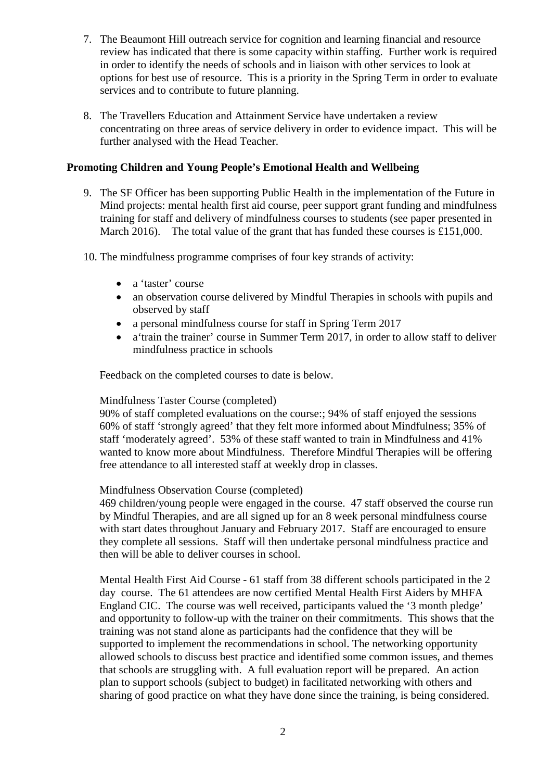- 7. The Beaumont Hill outreach service for cognition and learning financial and resource review has indicated that there is some capacity within staffing. Further work is required in order to identify the needs of schools and in liaison with other services to look at options for best use of resource. This is a priority in the Spring Term in order to evaluate services and to contribute to future planning.
- 8. The Travellers Education and Attainment Service have undertaken a review concentrating on three areas of service delivery in order to evidence impact. This will be further analysed with the Head Teacher.

## **Promoting Children and Young People's Emotional Health and Wellbeing**

- 9. The SF Officer has been supporting Public Health in the implementation of the Future in Mind projects: mental health first aid course, peer support grant funding and mindfulness training for staff and delivery of mindfulness courses to students (see paper presented in March 2016). The total value of the grant that has funded these courses is £151,000.
- 10. The mindfulness programme comprises of four key strands of activity:
	- a 'taster' course
	- an observation course delivered by Mindful Therapies in schools with pupils and observed by staff
	- a personal mindfulness course for staff in Spring Term 2017
	- a'train the trainer' course in Summer Term 2017, in order to allow staff to deliver mindfulness practice in schools

Feedback on the completed courses to date is below.

## Mindfulness Taster Course (completed)

90% of staff completed evaluations on the course:; 94% of staff enjoyed the sessions 60% of staff 'strongly agreed' that they felt more informed about Mindfulness; 35% of staff 'moderately agreed'. 53% of these staff wanted to train in Mindfulness and 41% wanted to know more about Mindfulness. Therefore Mindful Therapies will be offering free attendance to all interested staff at weekly drop in classes.

## Mindfulness Observation Course (completed)

469 children/young people were engaged in the course. 47 staff observed the course run by Mindful Therapies, and are all signed up for an 8 week personal mindfulness course with start dates throughout January and February 2017. Staff are encouraged to ensure they complete all sessions. Staff will then undertake personal mindfulness practice and then will be able to deliver courses in school.

Mental Health First Aid Course - 61 staff from 38 different schools participated in the 2 day course. The 61 attendees are now certified Mental Health First Aiders by MHFA England CIC. The course was well received, participants valued the '3 month pledge' and opportunity to follow-up with the trainer on their commitments. This shows that the training was not stand alone as participants had the confidence that they will be supported to implement the recommendations in school. The networking opportunity allowed schools to discuss best practice and identified some common issues, and themes that schools are struggling with. A full evaluation report will be prepared. An action plan to support schools (subject to budget) in facilitated networking with others and sharing of good practice on what they have done since the training, is being considered.